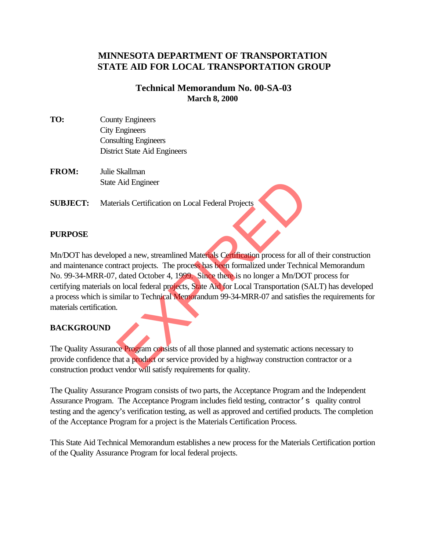# **MINNESOTA DEPARTMENT OF TRANSPORTATION STATE AID FOR LOCAL TRANSPORTATION GROUP**

## **Technical Memorandum No. 00-SA-03 March 8, 2000**

- **TO:** County Engineers City Engineers Consulting Engineers District State Aid Engineers
- **FROM:** Julie Skallman State Aid Engineer

**SUBJECT:** Materials Certification on Local Federal Projects

#### **PURPOSE**

Mn/DOT has developed a new, streamlined Materials Certification process for all of their construction and maintenance contract projects. The process has been formalized under Technical Memorandum No. 99-34-MRR-07, dated October 4, 1999. Since there is no longer a Mn/DOT process for certifying materials on local federal projects, State Aid for Local Transportation (SALT) has developed a process which is similar to Technical Memorandum 99-34-MRR-07 and satisfies the requirements for materials certification. Aid Engineer<br>
Frals Certification on Local Federal Projects<br>
Dead a new, streamlined Materials Certification process for all<br>
tract projects. The process has been formalized under Techni<br>
dated October 4, 1999. Since there

## **BACKGROUND**

The Quality Assurance Program consists of all those planned and systematic actions necessary to provide confidence that a product or service provided by a highway construction contractor or a construction product vendor will satisfy requirements for quality.

The Quality Assurance Program consists of two parts, the Acceptance Program and the Independent Assurance Program. The Acceptance Program includes field testing, contractor's quality control testing and the agency's verification testing, as well as approved and certified products. The completion of the Acceptance Program for a project is the Materials Certification Process.

This State Aid Technical Memorandum establishes a new process for the Materials Certification portion of the Quality Assurance Program for local federal projects.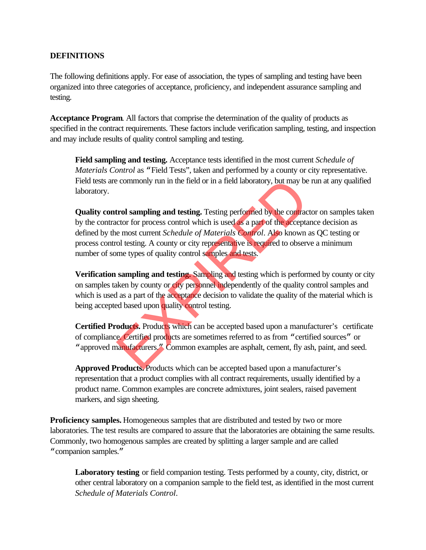#### **DEFINITIONS**

The following definitions apply. For ease of association, the types of sampling and testing have been organized into three categories of acceptance, proficiency, and independent assurance sampling and testing.

**Acceptance Program**. All factors that comprise the determination of the quality of products as specified in the contract requirements. These factors include verification sampling, testing, and inspection and may include results of quality control sampling and testing.

**Field sampling and testing.** Acceptance tests identified in the most current *Schedule of Materials Control* as "Field Tests", taken and performed by a county or city representative. Field tests are commonly run in the field or in a field laboratory, but may be run at any qualified laboratory.

**Quality control sampling and testing.** Testing performed by the contractor on samples taken by the contractor for process control which is used as a part of the acceptance decision as defined by the most current *Schedule of Materials Control*. Also known as QC testing or process control testing. A county or city representative is required to observe a minimum number of some types of quality control samples and tests. e commonly run in the field or in a field laboratory, but may be<br>
trol sampling and testing. Testing performed by the contractor for process control which is used as a part of the accepta<br>
e most current *Schedule of Mater* 

**Verification sampling and testing.** Sampling and testing which is performed by county or city on samples taken by county or city personnel independently of the quality control samples and which is used as a part of the acceptance decision to validate the quality of the material which is being accepted based upon quality control testing.

**Certified Products.** Products which can be accepted based upon a manufacturer's certificate of compliance. Certified products are sometimes referred to as from "certified sources" or "approved manufacturers." Common examples are asphalt, cement, fly ash, paint, and seed.

**Approved Products.** Products which can be accepted based upon a manufacturer's representation that a product complies with all contract requirements, usually identified by a product name. Common examples are concrete admixtures, joint sealers, raised pavement markers, and sign sheeting.

**Proficiency samples.** Homogeneous samples that are distributed and tested by two or more laboratories. The test results are compared to assure that the laboratories are obtaining the same results. Commonly, two homogenous samples are created by splitting a larger sample and are called "companion samples."

**Laboratory testing** or field companion testing. Tests performed by a county, city, district, or other central laboratory on a companion sample to the field test, as identified in the most current *Schedule of Materials Control*.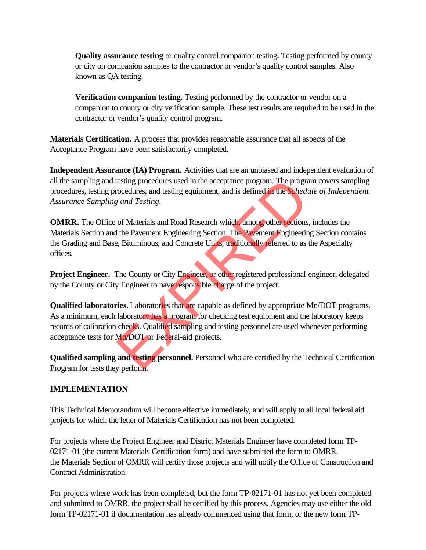**Quality assurance testing** or quality control companion testing**.** Testing performed by county or city on companion samples to the contractor or vendor's quality control samples. Also known as QA testing.

**Verification companion testing.** Testing performed by the contractor or vendor on a companion to county or city verification sample. These test results are required to be used in the contractor or vendor's quality control program.

**Materials Certification.** A process that provides reasonable assurance that all aspects of the Acceptance Program have been satisfactorily completed.

**Independent Assurance (IA) Program.** Activities that are an unbiased and independent evaluation of all the sampling and testing procedures used in the acceptance program. The program covers sampling procedures, testing procedures, and testing equipment, and is defined in the *Schedule of Independent Assurance Sampling and Testing.*

**OMRR.** The Office of Materials and Road Research which, among other sections, includes the Materials Section and the Pavement Engineering Section. The Pavement Engineering Section contains the Grading and Base, Bituminous, and Concrete Units, traditionally referred to as the Aspecialty offices.

**Project Engineer.** The County or City Engineer, or other registered professional engineer, delegated by the County or City Engineer to have responsible charge of the project.

**Qualified laboratories.** Laboratories that are capable as defined by appropriate Mn/DOT programs. As a minimum, each laboratory has a program for checking test equipment and the laboratory keeps records of calibration checks. Qualified sampling and testing personnel are used whenever performing acceptance tests for Mn/DOT or Federal-aid projects. testing procedures used in the acceptance program. The programed<br>correctures, and testing equipment, and is defined in the Schedular and Testing.<br>
Expand Testing.<br>
The Pavement Engineering Section. The Pavement Engineerine

**Qualified sampling and testing personnel.** Personnel who are certified by the Technical Certification Program for tests they perform.

## **IMPLEMENTATION**

This Technical Memorandum will become effective immediately, and will apply to all local federal aid projects for which the letter of Materials Certification has not been completed.

For projects where the Project Engineer and District Materials Engineer have completed form TP-02171-01 (the current Materials Certification form) and have submitted the form to OMRR, the Materials Section of OMRR will certify those projects and will notify the Office of Construction and Contract Administration.

For projects where work has been completed, but the form TP-02171-01 has not yet been completed and submitted to OMRR, the project shall be certified by this process. Agencies may use either the old form TP-02171-01 if documentation has already commenced using that form, or the new form TP-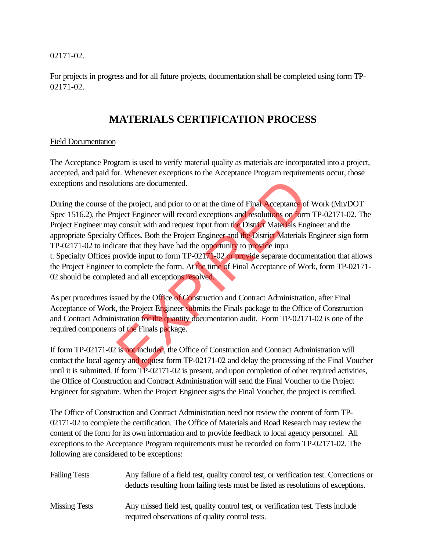02171-02.

For projects in progress and for all future projects, documentation shall be completed using form TP-02171-02.

# **MATERIALS CERTIFICATION PROCESS**

## Field Documentation

The Acceptance Program is used to verify material quality as materials are incorporated into a project, accepted, and paid for. Whenever exceptions to the Acceptance Program requirements occur, those exceptions and resolutions are documented.

During the course of the project, and prior to or at the time of Final Acceptance of Work (Mn/DOT Spec 1516.2), the Project Engineer will record exceptions and resolutions on form TP-02171-02. The Project Engineer may consult with and request input from the District Materials Engineer and the appropriate Specialty Offices. Both the Project Engineer and the District Materials Engineer sign form TP-02171-02 to indicate that they have had the opportunity to provide inpu t. Specialty Offices provide input to form TP-02171-02 or provide separate documentation that allows the Project Engineer to complete the form. At the time of Final Acceptance of Work, form TP-02171- 02 should be completed and all exceptions resolved. tions are documented.<br>
the project, and prior to or at the time of Final Acceptance of<br>
bject Engineer will record exceptions and resolutions on form<br>
consult with and request input from the District Materials Eng<br>
Offices

As per procedures issued by the Office of Construction and Contract Administration, after Final Acceptance of Work, the Project Engineer submits the Finals package to the Office of Construction and Contract Administration for the quantity documentation audit. Form TP-02171-02 is one of the required components of the Finals package.

If form TP-02171-02 is not included, the Office of Construction and Contract Administration will contact the local agency and request form TP-02171-02 and delay the processing of the Final Voucher until it is submitted. If form TP-02171-02 is present, and upon completion of other required activities, the Office of Construction and Contract Administration will send the Final Voucher to the Project Engineer for signature. When the Project Engineer signs the Final Voucher, the project is certified.

The Office of Construction and Contract Administration need not review the content of form TP-02171-02 to complete the certification. The Office of Materials and Road Research may review the content of the form for its own information and to provide feedback to local agency personnel. All exceptions to the Acceptance Program requirements must be recorded on form TP-02171-02. The following are considered to be exceptions:

| <b>Failing Tests</b> | Any failure of a field test, quality control test, or verification test. Corrections or<br>deducts resulting from failing tests must be listed as resolutions of exceptions. |
|----------------------|------------------------------------------------------------------------------------------------------------------------------------------------------------------------------|
| <b>Missing Tests</b> | Any missed field test, quality control test, or verification test. Tests include<br>required observations of quality control tests.                                          |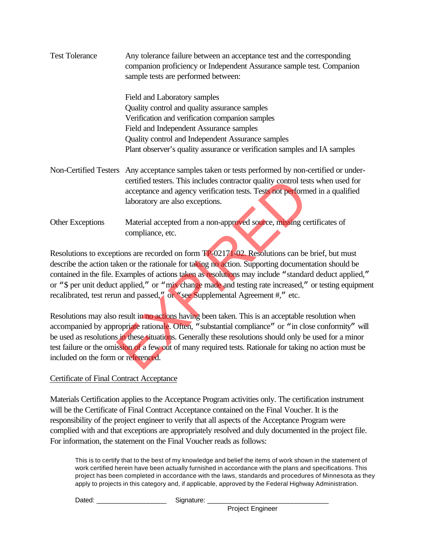| <b>Test Tolerance</b>               | Any tolerance failure between an acceptance test and the corresponding<br>companion proficiency or Independent Assurance sample test. Companion<br>sample tests are performed between:                                                                                                                                                                                                                                                                                                                    |  |  |
|-------------------------------------|-----------------------------------------------------------------------------------------------------------------------------------------------------------------------------------------------------------------------------------------------------------------------------------------------------------------------------------------------------------------------------------------------------------------------------------------------------------------------------------------------------------|--|--|
|                                     | Field and Laboratory samples                                                                                                                                                                                                                                                                                                                                                                                                                                                                              |  |  |
|                                     | Quality control and quality assurance samples                                                                                                                                                                                                                                                                                                                                                                                                                                                             |  |  |
|                                     | Verification and verification companion samples                                                                                                                                                                                                                                                                                                                                                                                                                                                           |  |  |
|                                     | Field and Independent Assurance samples                                                                                                                                                                                                                                                                                                                                                                                                                                                                   |  |  |
|                                     | Quality control and Independent Assurance samples                                                                                                                                                                                                                                                                                                                                                                                                                                                         |  |  |
|                                     | Plant observer's quality assurance or verification samples and IA samples                                                                                                                                                                                                                                                                                                                                                                                                                                 |  |  |
| Non-Certified Testers               | Any acceptance samples taken or tests performed by non-certified or under-<br>certified testers. This includes contractor quality control tests when used for                                                                                                                                                                                                                                                                                                                                             |  |  |
|                                     | acceptance and agency verification tests. Tests not performed in a qualified<br>laboratory are also exceptions.                                                                                                                                                                                                                                                                                                                                                                                           |  |  |
| <b>Other Exceptions</b>             | Material accepted from a non-approved source, missing certificates of<br>compliance, etc.                                                                                                                                                                                                                                                                                                                                                                                                                 |  |  |
|                                     | Resolutions to exceptions are recorded on form TP-02171-02. Resolutions can be brief, but must<br>describe the action taken or the rationale for taking no action. Supporting documentation should be<br>contained in the file. Examples of actions taken as resolutions may include "standard deduct applied,<br>or "\$ per unit deduct applied," or "mix change made and testing rate increased," or testing equipment<br>recalibrated, test rerun and passed," or "see Supplemental Agreement #," etc. |  |  |
| included on the form or referenced. | Resolutions may also result in no actions having been taken. This is an acceptable resolution when<br>accompanied by appropriate rationale. Often, "substantial compliance" or "in close conformity" wi<br>be used as resolutions in these situations. Generally these resolutions should only be used for a minor<br>test failure or the omission of a few out of many required tests. Rationale for taking no action must be                                                                            |  |  |
|                                     |                                                                                                                                                                                                                                                                                                                                                                                                                                                                                                           |  |  |

## Certificate of Final Contract Acceptance

Materials Certification applies to the Acceptance Program activities only. The certification instrument will be the Certificate of Final Contract Acceptance contained on the Final Voucher. It is the responsibility of the project engineer to verify that all aspects of the Acceptance Program were complied with and that exceptions are appropriately resolved and duly documented in the project file. For information, the statement on the Final Voucher reads as follows:

This is to certify that to the best of my knowledge and belief the items of work shown in the statement of work certified herein have been actually furnished in accordance with the plans and specifications. This project has been completed in accordance with the laws, standards and procedures of Minnesota as they apply to projects in this category and, if applicable, approved by the Federal Highway Administration.

Dated: etc. and a signature:  $\Box$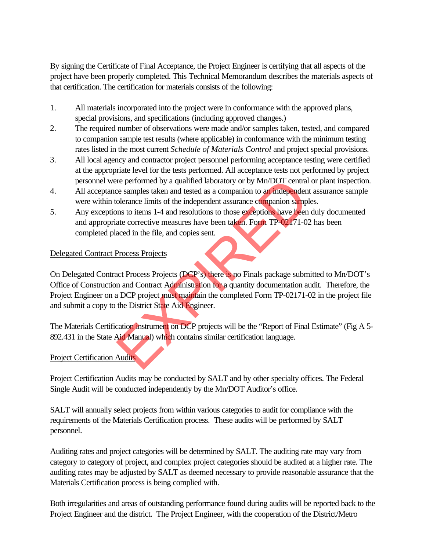By signing the Certificate of Final Acceptance, the Project Engineer is certifying that all aspects of the project have been properly completed. This Technical Memorandum describes the materials aspects of that certification. The certification for materials consists of the following:

- 1. All materials incorporated into the project were in conformance with the approved plans, special provisions, and specifications (including approved changes.)
- 2. The required number of observations were made and/or samples taken, tested, and compared to companion sample test results (where applicable) in conformance with the minimum testing rates listed in the most current *Schedule of Materials Control* and project special provisions.
- 3. All local agency and contractor project personnel performing acceptance testing were certified at the appropriate level for the tests performed. All acceptance tests not performed by project personnel were performed by a qualified laboratory or by Mn/DOT central or plant inspection.
- 4. All acceptance samples taken and tested as a companion to an independent assurance sample were within tolerance limits of the independent assurance companion samples.
- 5. Any exceptions to items 1-4 and resolutions to those exceptions have been duly documented and appropriate corrective measures have been taken. Form TP-02171-02 has been completed placed in the file, and copies sent.

## Delegated Contract Process Projects

On Delegated Contract Process Projects (DCP's) there is no Finals package submitted to Mn/DOT's Office of Construction and Contract Administration for a quantity documentation audit. Therefore, the Project Engineer on a DCP project must maintain the completed Form TP-02171-02 in the project file and submit a copy to the District State Aid Engineer. The performed by a qualified laboratory or by Mn/DOT central<br>the samples taken and tested as a companion to an independen<br>olerance limits of the independent assurance companion samples<br>to items 1-4 and resolutions to those

The Materials Certification instrument on DCP projects will be the "Report of Final Estimate" (Fig A 5-892.431 in the State Aid Manual) which contains similar certification language.

#### Project Certification Audits

Project Certification Audits may be conducted by SALT and by other specialty offices. The Federal Single Audit will be conducted independently by the Mn/DOT Auditor's office.

SALT will annually select projects from within various categories to audit for compliance with the requirements of the Materials Certification process. These audits will be performed by SALT personnel.

Auditing rates and project categories will be determined by SALT. The auditing rate may vary from category to category of project, and complex project categories should be audited at a higher rate. The auditing rates may be adjusted by SALT as deemed necessary to provide reasonable assurance that the Materials Certification process is being complied with.

Both irregularities and areas of outstanding performance found during audits will be reported back to the Project Engineer and the district. The Project Engineer, with the cooperation of the District/Metro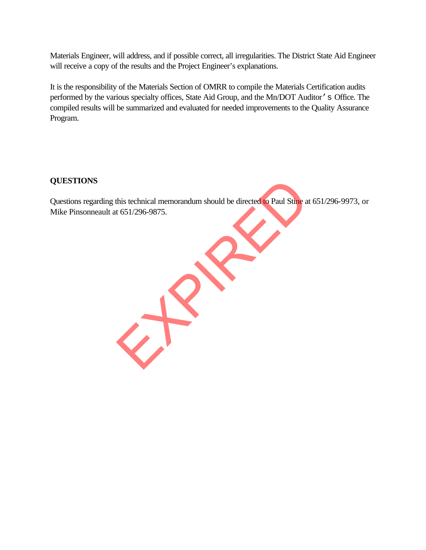Materials Engineer, will address, and if possible correct, all irregularities. The District State Aid Engineer will receive a copy of the results and the Project Engineer's explanations.

It is the responsibility of the Materials Section of OMRR to compile the Materials Certification audits performed by the various specialty offices, State Aid Group, and the Mn/DOT Auditor's Office. The compiled results will be summarized and evaluated for needed improvements to the Quality Assurance Program.

## **QUESTIONS**

Questions regarding this technical memorandum should be directed to Paul Stine at 651/296-9973, or Mike Pinsonneault at 651/296-9875.

EXPIRED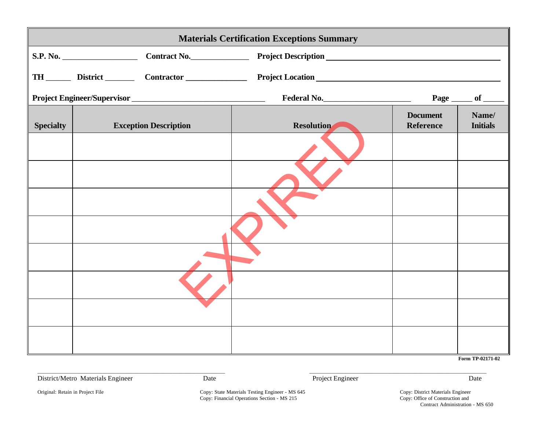| <b>Materials Certification Exceptions Summary</b> |          |                              |                                                                                                                  |                              |                          |  |
|---------------------------------------------------|----------|------------------------------|------------------------------------------------------------------------------------------------------------------|------------------------------|--------------------------|--|
|                                                   | S.P. No. |                              | Contract No. Project Description Manuel And Manuel And Manuel And Manuel And Manuel And Manuel And Manuel And Ma |                              |                          |  |
|                                                   |          |                              |                                                                                                                  |                              |                          |  |
| Project Engineer/Supervisor                       |          |                              |                                                                                                                  | Page __                      | of                       |  |
| <b>Specialty</b>                                  |          | <b>Exception Description</b> | <b>Resolution</b>                                                                                                | <b>Document</b><br>Reference | Name/<br><b>Initials</b> |  |
|                                                   |          |                              |                                                                                                                  |                              |                          |  |
|                                                   |          |                              |                                                                                                                  |                              |                          |  |
|                                                   |          |                              |                                                                                                                  |                              |                          |  |
|                                                   |          |                              |                                                                                                                  |                              |                          |  |
|                                                   |          |                              |                                                                                                                  |                              |                          |  |
|                                                   |          |                              |                                                                                                                  |                              |                          |  |
|                                                   |          |                              |                                                                                                                  |                              |                          |  |
|                                                   |          |                              |                                                                                                                  |                              |                          |  |

**Form TP-02171-02**

District/Metro Materials Engineer Date Project Engineer Date

Original: Retain in Project File **Copy:** State Materials Testing Engineer - MS 645 Copy: District Materials Engineer Copy: Financial Operations Section - MS 215 Copy: Office of Construction and

 $\_$  , and the state of the state of the state of the state of the state of the state of the state of the state of the state of the state of the state of the state of the state of the state of the state of the state of the